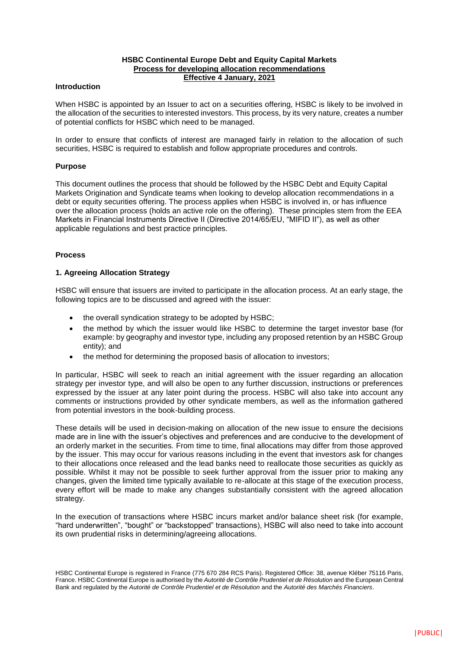## **HSBC Continental Europe Debt and Equity Capital Markets Process for developing allocation recommendations Effective 4 January, 2021**

## **Introduction**

When HSBC is appointed by an Issuer to act on a securities offering, HSBC is likely to be involved in the allocation of the securities to interested investors. This process, by its very nature, creates a number of potential conflicts for HSBC which need to be managed.

In order to ensure that conflicts of interest are managed fairly in relation to the allocation of such securities, HSBC is required to establish and follow appropriate procedures and controls.

## **Purpose**

This document outlines the process that should be followed by the HSBC Debt and Equity Capital Markets Origination and Syndicate teams when looking to develop allocation recommendations in a debt or equity securities offering. The process applies when HSBC is involved in, or has influence over the allocation process (holds an active role on the offering). These principles stem from the EEA Markets in Financial Instruments Directive II (Directive 2014/65/EU, "MIFID II"), as well as other applicable regulations and best practice principles.

#### **Process**

## **1. Agreeing Allocation Strategy**

HSBC will ensure that issuers are invited to participate in the allocation process. At an early stage, the following topics are to be discussed and agreed with the issuer:

- the overall syndication strategy to be adopted by HSBC;
- the method by which the issuer would like HSBC to determine the target investor base (for example: by geography and investor type, including any proposed retention by an HSBC Group entity); and
- the method for determining the proposed basis of allocation to investors;

In particular, HSBC will seek to reach an initial agreement with the issuer regarding an allocation strategy per investor type, and will also be open to any further discussion, instructions or preferences expressed by the issuer at any later point during the process. HSBC will also take into account any comments or instructions provided by other syndicate members, as well as the information gathered from potential investors in the book-building process.

These details will be used in decision-making on allocation of the new issue to ensure the decisions made are in line with the issuer's objectives and preferences and are conducive to the development of an orderly market in the securities. From time to time, final allocations may differ from those approved by the issuer. This may occur for various reasons including in the event that investors ask for changes to their allocations once released and the lead banks need to reallocate those securities as quickly as possible. Whilst it may not be possible to seek further approval from the issuer prior to making any changes, given the limited time typically available to re-allocate at this stage of the execution process, every effort will be made to make any changes substantially consistent with the agreed allocation strategy.

In the execution of transactions where HSBC incurs market and/or balance sheet risk (for example, "hard underwritten", "bought" or "backstopped" transactions), HSBC will also need to take into account its own prudential risks in determining/agreeing allocations.

HSBC Continental Europe is registered in France (775 670 284 RCS Paris). Registered Office: 38, avenue Kléber 75116 Paris, France. HSBC Continental Europe is authorised by the *Autorité de Contrôle Prudentiel et de Résolution* and the European Central Bank and regulated by the *Autorité de Contrôle Prudentiel et de Résolution* and the *Autorité des Marchés Financiers*.